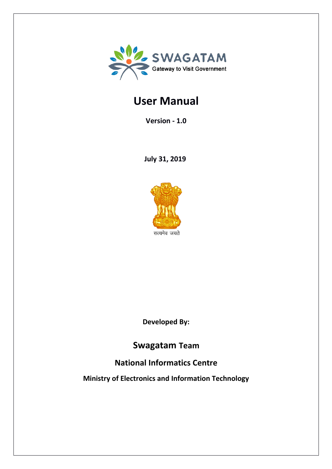

# **User Manual**

**Version - 1.0**

**July 31, 2019** 



**Developed By:**

## **Swagatam Team**

## **National Informatics Centre**

**Ministry of Electronics and Information Technology**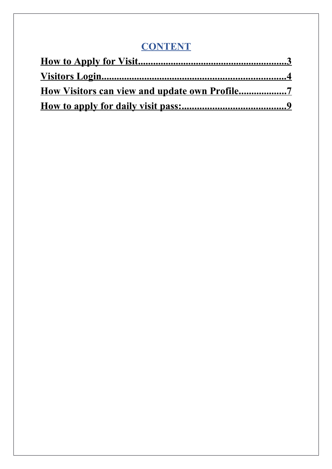# **CONTENT**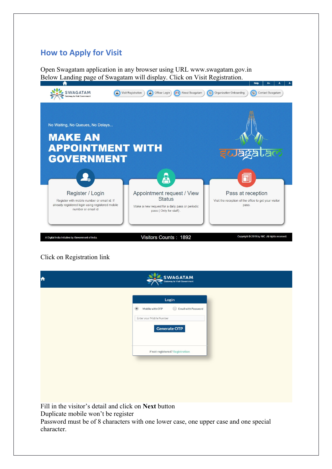### **How to Apply for Visit**

Open Swagatam application in any browser using URL www.swagatam.gov.in Below Landing page of Swagatam will display. Click on Visit Registration.



Click on Registration link

| A                                                                                                         | <b>WAGATAM</b>                                                                         |
|-----------------------------------------------------------------------------------------------------------|----------------------------------------------------------------------------------------|
|                                                                                                           | Login                                                                                  |
|                                                                                                           | <b>Email with Password</b><br>Mobile with OTP<br>$\bullet$<br>Enter your Mobile Number |
|                                                                                                           | <b>Generate OTP</b>                                                                    |
|                                                                                                           | if not registered? Registration                                                        |
|                                                                                                           |                                                                                        |
|                                                                                                           |                                                                                        |
|                                                                                                           |                                                                                        |
| Fill in the visitor's detail and click on Next button<br>Duplicate mobile won't be register<br>character. | Password must be of 8 characters with one lower case, one upper case and one special   |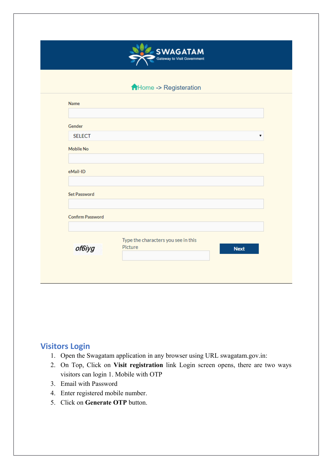

#### AHome -> Registeration

| Gender                  |                                     |   |
|-------------------------|-------------------------------------|---|
| <b>SELECT</b>           |                                     | ▼ |
| <b>Mobile No</b>        |                                     |   |
|                         |                                     |   |
| eMail-ID                |                                     |   |
|                         |                                     |   |
| <b>Set Password</b>     |                                     |   |
|                         |                                     |   |
| <b>Confirm Password</b> |                                     |   |
|                         | Type the characters you see in this |   |
| of6iyg                  | Picture<br><b>Next</b>              |   |

### **Visitors Login**

- 1. Open the Swagatam application in any browser using URL swagatam.gov.in:
- 2. On Top, Click on **Visit registration** link Login screen opens, there are two ways visitors can login 1. Mobile with OTP
- 3. Email with Password
- 4. Enter registered mobile number.
- 5. Click on **Generate OTP** button.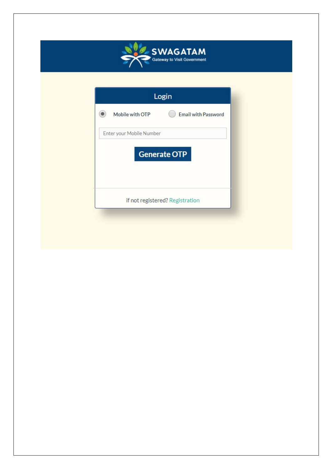

| Login |                          |                            |  |  |
|-------|--------------------------|----------------------------|--|--|
|       | Mobile with OTP          | <b>Email with Password</b> |  |  |
|       | Enter your Mobile Number |                            |  |  |
|       |                          | <b>Generate OTP</b>        |  |  |
|       |                          |                            |  |  |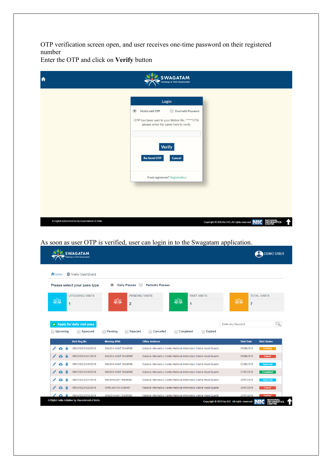OTP verification screen open, and user receives one-time password on their registered number

Enter the OTP and click on **Verify** button

| A                                                  | <b>SWAGATAM</b><br>Gateway to Visit Government                                                                                                       |                                                                                   |
|----------------------------------------------------|------------------------------------------------------------------------------------------------------------------------------------------------------|-----------------------------------------------------------------------------------|
|                                                    | Login                                                                                                                                                |                                                                                   |
|                                                    | $\circledcirc$<br>Email with Password<br>Mobile with OTP<br>OTP has been sent to your Mobile No. *****1718,<br>please enter the same here to verify. |                                                                                   |
|                                                    | <b>Verify</b><br><b>Re-Send OTP</b><br>Cancel                                                                                                        |                                                                                   |
|                                                    | if not registered? Registration                                                                                                                      |                                                                                   |
|                                                    |                                                                                                                                                      |                                                                                   |
| A Digital India Initiative by Government of India. |                                                                                                                                                      | NATIONAL<br>INFORMATICS<br>CENTRE<br>Copyright @ 2015 by NIC All rights reserved. |

#### As soon as user OTP is verified, user can login in to the Swagatam application.

| <b>A</b> Home | ■ Visitor DashBoard          |                                                 |                                                                      |                                                |
|---------------|------------------------------|-------------------------------------------------|----------------------------------------------------------------------|------------------------------------------------|
|               | Please select your pass type | <b>Daily Passes</b><br>$\left( \bullet \right)$ | <b>Periodic Passes</b>                                               |                                                |
| 丽<br>1        | <b>UPCOMING VISITS</b>       | 砺<br>$\overline{2}$                             | <b>PENDING VISITS</b><br><b>PAST VISITS</b><br>砺<br>1                | <b>TOTAL VISITS</b><br>ष्ठीह<br>$\overline{7}$ |
|               | + Apply for daily visit pass |                                                 |                                                                      | Q<br><b>Enter any Keyword</b>                  |
|               |                              |                                                 |                                                                      |                                                |
| Upcoming      | <b>Approved</b>              | <b>Pending</b><br><b>Rejected</b>               | Cancelled<br>Completed<br>Expired                                    |                                                |
|               | <b>Visit Reg.No</b>          | <b>Meeting With</b>                             | <b>Office Address</b>                                                | <b>Visit Date</b><br><b>Visit Status</b>       |
|               | I/0012/0023/142/2019         | <b>SHASHI KANT SHARME</b>                       | National Informatics Centre National Informatics Centre Head Quarter | 05/08/2019<br>Pending                          |
|               | I/0012/0023/141/2019         | <b>SHASHI KANT SHARME</b>                       | National Informatics Centre National Informatics Centre Head Quarter | 05/08/2019<br>Cancel                           |
|               | I/0012/0023/140/2019         | <b>SHASHI KANT SHARME</b>                       | National Informatics Centre National Informatics Centre Head Quarter | 02/08/2019<br><b>Approved</b>                  |
|               | I/0012/0023/138/2019         | <b>SHASHI KANT SHARME</b>                       | National Informatics Centre National Informatics Centre Head Quarter | 31/07/2019<br><b>Completed</b>                 |
| ✔<br>π        | I/0012/0023/127/2019         | <b>SHASHIKANT SHARMA</b>                        | National Informatics Centre National Informatics Centre Head Quarter | 26/07/2019<br><b>Approved</b>                  |
|               | I/0012/0023/126/2019         | <b>SHRI ASHOK KUMAR</b>                         | National Informatics Centre National Informatics Centre Head Quarter | 30/07/2019<br><b>Cancel</b>                    |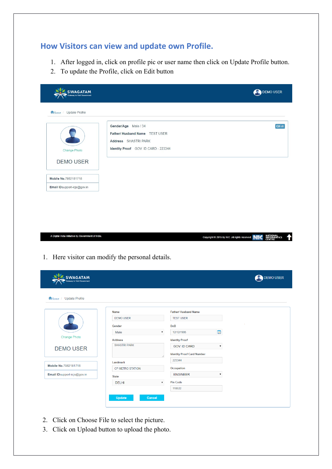## **How Visitors can view and update own Profile.**

- 1. After logged in, click on profile pic or user name then click on Update Profile button.
- 2. To update the Profile, click on Edit button

| WAGATAM<br>ay to Visit Government                                         |                                                                                                                        |                                                   | DEMO USER                         |
|---------------------------------------------------------------------------|------------------------------------------------------------------------------------------------------------------------|---------------------------------------------------|-----------------------------------|
| Home / Update Profile                                                     |                                                                                                                        |                                                   |                                   |
| <b>Change Photo</b>                                                       | Gender/Age Male / 34<br>Father/ Husband Name TEST USER<br>Address SHASTRI PARK<br>Identity Proof GOV. ID CARD - 223344 |                                                   | <b>GEdit</b>                      |
| <b>DEMO USER</b>                                                          |                                                                                                                        |                                                   |                                   |
| Mobile No.7982181718                                                      |                                                                                                                        |                                                   |                                   |
| Email ID support-icjs@gov.in                                              |                                                                                                                        |                                                   |                                   |
|                                                                           |                                                                                                                        | Copyright @ 2015 by NIC .All rights reserved.     | NATIONAL<br>INFORMATICS<br>CENTRE |
|                                                                           | 1. Here visitor can modify the personal details.                                                                       |                                                   |                                   |
| <b>WAGATAM</b><br>av to Visit Governmen                                   |                                                                                                                        |                                                   |                                   |
|                                                                           |                                                                                                                        |                                                   |                                   |
|                                                                           | Name                                                                                                                   | <b>Father/ Husband Name</b>                       |                                   |
|                                                                           | <b>DEMO USER</b>                                                                                                       | <b>TEST USER</b>                                  |                                   |
|                                                                           | Gender                                                                                                                 | <b>DoB</b>                                        |                                   |
| A Digital India Initiative by Government of India.<br><b>Change Photo</b> | Male                                                                                                                   | 12/12/1985<br>v<br>سى                             | <b>DEMO USER</b>                  |
| Home / Update Profile                                                     | <b>Address</b>                                                                                                         | <b>Identity Proof</b>                             |                                   |
| <b>DEMO USER</b>                                                          | <b>SHASTRI PARK</b>                                                                                                    | GOV. ID CARD<br>$\pmb{\mathrm{v}}$                |                                   |
|                                                                           |                                                                                                                        | <b>Identity Proof Card Number</b>                 |                                   |
| Mobile No.7982181718                                                      | Landmark                                                                                                               | 223344                                            |                                   |
|                                                                           | CP METRO STATION                                                                                                       | Occupation                                        |                                   |
| Email IDsupport-icjs@gov.in                                               | <b>State</b><br><b>DELHI</b>                                                                                           | <b>ENGINEER</b><br>Pin Code<br>$\pmb{\mathrm{v}}$ |                                   |

 $Cancel$ 

- 2. Click on Choose File to select the picture.
- 3. Click on Upload button to upload the photo.

Update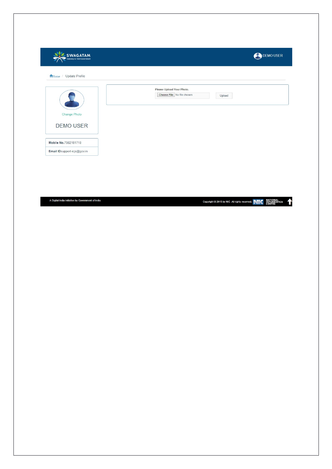| Home / Update Profile       |                                                                   |  |
|-----------------------------|-------------------------------------------------------------------|--|
| Change Photo                | Please Upload Your Photo.<br>Choose File No file chosen<br>Upload |  |
| <b>DEMO USER</b>            |                                                                   |  |
| Mobile No.7982181718        |                                                                   |  |
| Email IDsupport-icjs@gov.in |                                                                   |  |

A Digital India Initiative by Government of India.

Copyright © 2015 by NIC .All rights reserved. NATIONAL TICS THEORY PUT IN THE RESERVED TO A LET REAL PROPERTY OF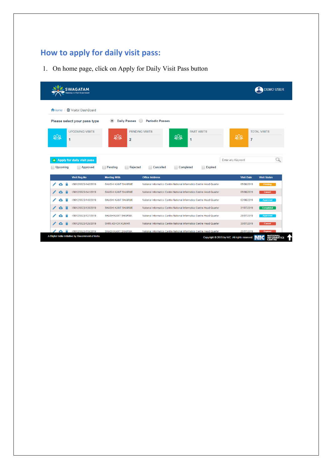## **How to apply for daily visit pass:**

1. On home page, click on Apply for Daily Visit Pass button

|            | <b>SWAGATA</b>                                     |                                |                                                                      | <b>DEMOUSER</b>                            |
|------------|----------------------------------------------------|--------------------------------|----------------------------------------------------------------------|--------------------------------------------|
|            | <b>A</b> Home / <b>Ø</b> Visitor DashBoard         |                                |                                                                      |                                            |
|            | Please select your pass type                       | <b>Daily Passes</b><br>$\circ$ | <b>Periodic Passes</b>                                               |                                            |
| श्वीर<br>1 | <b>UPCOMING VISITS</b>                             | केंसि<br>$\overline{2}$        | <b>PENDING VISITS</b><br><b>PAST VISITS</b><br>केकि<br>1             | <b>TOTAL VISITS</b><br>丽<br>$\overline{7}$ |
|            | + Apply for daily visit pass                       |                                |                                                                      | Enter any Keyword                          |
| Upcoming   | Approved                                           | Pending<br>Rejected            | <b>Cancelled</b><br>Completed<br><b>Expired</b>                      |                                            |
|            | <b>Visit Reg.No</b>                                | <b>Meeting With</b>            | <b>Office Address</b>                                                | <b>Visit Date</b><br><b>Visit Status</b>   |
|            | 1/0012/0023/142/2019                               | <b>SHASHI KANT SHARME</b>      | National Informatics Centre National Informatics Centre Head Quarter | 05/08/2019<br>Pending                      |
|            | 1/0012/0023/141/2019                               | <b>SHASHI KANT SHARME</b>      | National Informatics Centre National Informatics Centre Head Quarter | 05/08/2019<br>Cancel                       |
|            | I/0012/0023/140/2019                               | <b>SHASHI KANT SHARME</b>      | National Informatics Centre National Informatics Centre Head Quarter | 02/08/2019<br>Approved                     |
|            | I/0012/0023/138/2019                               | <b>SHASHI KANT SHARME</b>      | National Informatics Centre National Informatics Centre Head Quarter | 31/07/2019<br><b>Completed</b>             |
|            | I/0012/0023/127/2019                               | <b>SHASHIKANT SHARMA</b>       | National Informatics Centre National Informatics Centre Head Quarter | 26/07/2019<br><b>Approved</b>              |
|            | I/0012/0023/126/2019                               | <b>SHRI ASHOK KUMAR</b>        | National Informatics Centre National Informatics Centre Head Quarter | 30/07/2019<br>Cancel                       |
|            | I/0012/0023/119/2019                               | <b>SHASHIKANT SHARMA</b>       | National Informatics Centre National Informatics Centre Head Quarter | 25/07/2019<br><b>Expired</b>               |
|            | A Digital India Initiative by Government of India. |                                |                                                                      |                                            |